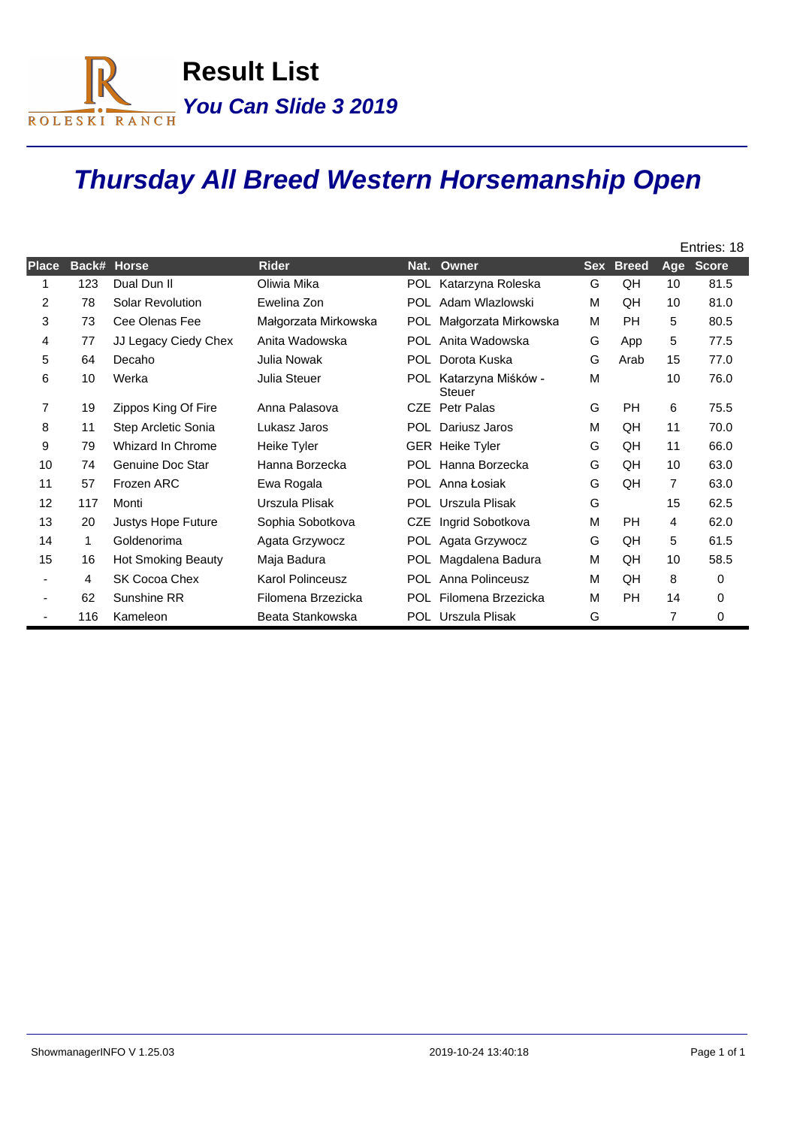

## **Thursday All Breed Western Horsemanship Open**

|                |       |                           |                         |            |                                     | Entries: 18 |              |                |              |
|----------------|-------|---------------------------|-------------------------|------------|-------------------------------------|-------------|--------------|----------------|--------------|
| Place          | Back# | <b>Horse</b>              | <b>Rider</b>            | Nat.       | Owner                               | <b>Sex</b>  | <b>Breed</b> | Age            | <b>Score</b> |
|                | 123   | Dual Dun II               | Oliwia Mika             | <b>POL</b> | Katarzyna Roleska                   | G           | QH           | 10             | 81.5         |
| $\overline{2}$ | 78    | <b>Solar Revolution</b>   | Ewelina Zon             | <b>POL</b> | Adam Wlazlowski                     | М           | QH           | 10             | 81.0         |
| 3              | 73    | Cee Olenas Fee            | Małgorzata Mirkowska    | <b>POL</b> | Małgorzata Mirkowska                | М           | <b>PH</b>    | 5              | 80.5         |
| 4              | 77    | JJ Legacy Ciedy Chex      | Anita Wadowska          |            | POL Anita Wadowska                  | G           | App          | 5              | 77.5         |
| 5              | 64    | Decaho                    | Julia Nowak             | <b>POL</b> | Dorota Kuska                        | G           | Arab         | 15             | 77.0         |
| 6              | 10    | Werka                     | Julia Steuer            | POL.       | Katarzyna Miśków -<br><b>Steuer</b> | M           |              | 10             | 76.0         |
| 7              | 19    | Zippos King Of Fire       | Anna Palasova           | <b>CZE</b> | Petr Palas                          | G           | <b>PH</b>    | 6              | 75.5         |
| 8              | 11    | Step Arcletic Sonia       | Lukasz Jaros            | POL.       | Dariusz Jaros                       | M           | QH           | 11             | 70.0         |
| 9              | 79    | Whizard In Chrome         | Heike Tyler             |            | <b>GER</b> Heike Tyler              | G           | QH           | 11             | 66.0         |
| 10             | 74    | Genuine Doc Star          | Hanna Borzecka          | <b>POL</b> | Hanna Borzecka                      | G           | QH           | 10             | 63.0         |
| 11             | 57    | Frozen ARC                | Ewa Rogala              |            | POL Anna Łosiak                     | G           | QH           | $\overline{7}$ | 63.0         |
| 12             | 117   | Monti                     | Urszula Plisak          | POL.       | Urszula Plisak                      | G           |              | 15             | 62.5         |
| 13             | 20    | Justys Hope Future        | Sophia Sobotkova        | <b>CZE</b> | Ingrid Sobotkova                    | M           | <b>PH</b>    | 4              | 62.0         |
| 14             | 1     | Goldenorima               | Agata Grzywocz          |            | POL Agata Grzywocz                  | G           | QH           | 5              | 61.5         |
| 15             | 16    | <b>Hot Smoking Beauty</b> | Maja Badura             | <b>POL</b> | Magdalena Badura                    | M           | QH           | 10             | 58.5         |
| ٠              | 4     | SK Cocoa Chex             | <b>Karol Polinceusz</b> | POL.       | Anna Polinceusz                     | M           | QH           | 8              | 0            |
|                | 62    | Sunshine RR               | Filomena Brzezicka      |            | POL Filomena Brzezicka              | М           | <b>PH</b>    | 14             | 0            |
|                | 116   | Kameleon                  | Beata Stankowska        |            | POL Urszula Plisak                  | G           |              | 7              | 0            |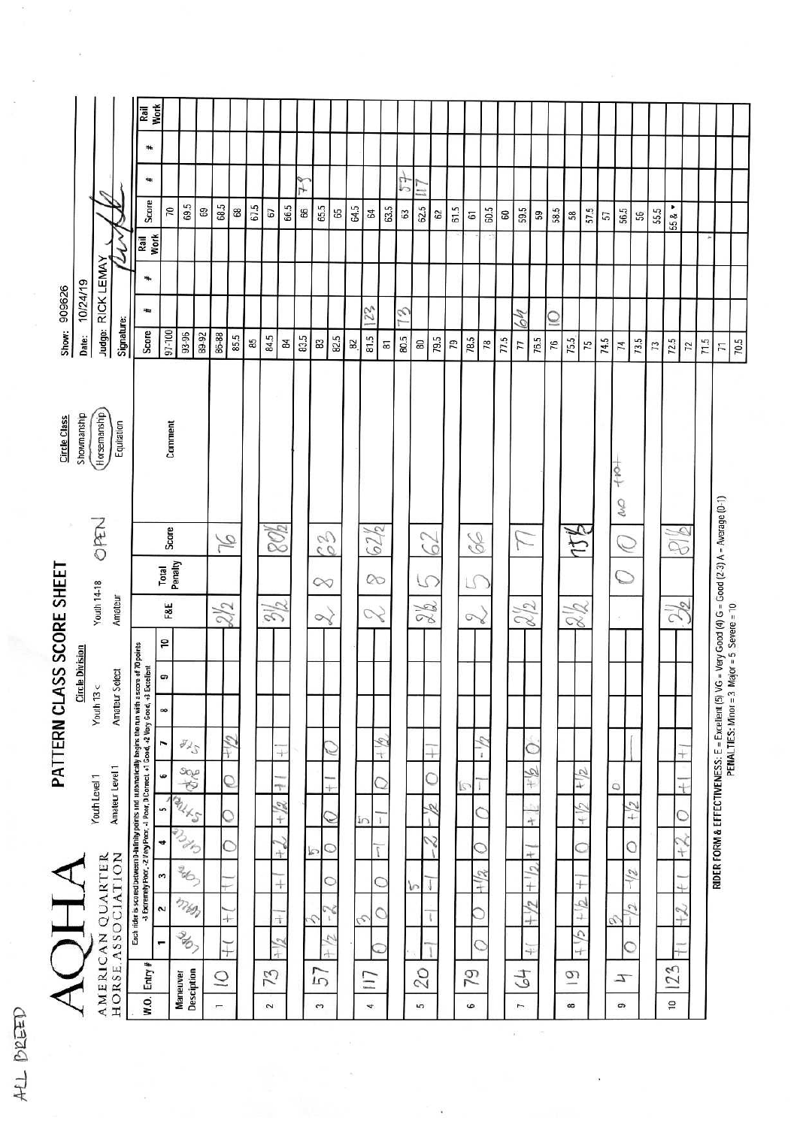**Work** Rail ä. Ť **Score** 69.5 68.5 65.5 64.5 67.5 66.5 66 63.5 62.5 57.5 56.5 55.5 55 &  $\star$ 70 69 68 67  $65\,$  $64$ 63  $62\,$  $61.5$ 60.5  $60^{\circ}$ 59.5 58.5 59 57 58 56  $57\,$ **Work**  $\mathcal{M}'$ Rail Judge: RICK LEMAY 10/24/19 Show: 909626 23 E ÷, 4 Ó Signature: Score 97-100 93-96 89-92 86-88  $81.5$ Date: 85.5 84.5 83.5 82.5 80.5 79.5  $78.5$ 77.5 76.5 74.5 73.5 85  $\overline{17}$ 75.5  $71.5$ 70.5  $\overline{8}$ 83  $82$ 80  $79$ 78 75 74 72.5 87 76  $73$  $\overline{12}$  $\overline{7}$ Showmanship Horsemanship Circle Class Equitation Comment  $+80 +$  $\mathcal{O}$ RIDER FORM & EFFECTIVENESS: E = Excellent (5) VG = Very Good (4) G = Good (2-3) A = Average (0-1)<br>PENALTIES: Minor = 3 Major = 5 Severe = 10 OPEN 80% 62/2 474 **Score** 88 V 00 62 Yo  $\mathcal{O}$  $\sum$  $\overline{\mathbb{Q}}$ Total<br>Penalty PATTERN CLASS SCORE SHEET  $\infty$ C LS **Youth 14-18**  $\sqrt{ }$  $\infty$ Amateur  $\mathbb{Z}$  $\frac{2}{2}$ F&E 28  $22$  $2/2$  $\frac{2}{8}$ 2  $\sim$ 2  $\overline{\phantom{a}}$ Each rider is scored between 0-khinity points and automatically begins the run with a score of 10 points<br>-3 Extremely Poor, -2 Very Poor, -1 Poor, D Correct, -1 Good, -2 Very Good, -1 S Excellent **Circle Division** . Amateur Select  $Y<sub>0</sub>$ uth 13  $<$  $\infty$  $\sigma_{\chi_{\mathcal{S}}}$  $6/1$  $-\frac{1}{6}$  $-\frac{1}{2}$  $\overline{ }$ C  $\overline{+}$  $\overline{\phantom{a}}$  $\ddot{}$ soe<br>E  $417$ Amateur Level 1  $\mathscr{A}_{+}$  $\bullet$ Ċ Youth Level 1 Q C T  $\circ$  $\overline{+}$ **ALLS**  $-64$  $+ 12$  $-1/2$ R. un Ċ Ċ O  $\overline{1}$  $\ddot{+}$ Ž 4  $\overline{C}$ Ó Ċ Ö  $\overline{1}$ b  $^{+}$  $\ddot{\tau}$ AMERICAN QUARTER<br>HORSE ASSOCIATION 4 206-AOHA  $+1/2$ .  $-1/2$  $\ddot{\phantom{0}}$  $+1/2$  $\frac{1}{\pm}$ C  $\subset$ T  $^{+}$ b mss  $4 + 12$  $+1/7$  $-12$  $\overline{z}$  $\circ$ Ó Ţ ∓  $\overline{1}$ ¢  $\mathfrak{t}$ É Ç 367  $5 + 12$  $\frac{1}{2}$  $\mathfrak{S}$ ÷ C Ċ ÷  $\frac{1}{2}$  $W$ .0. Entry # 23 **Maneuver**<br>Desciption 57 07 5 73 79  $\overline{Q}$  $\overline{Q}$  $117$  $\tau$  $\overline{4}$  $\infty$ ക  $\overline{a}$  $\overline{a}$  $\overline{a}$  $\mathfrak{g}$ 5  $\ddot{\bullet}$  $\overline{r}$ 

ALL BREED